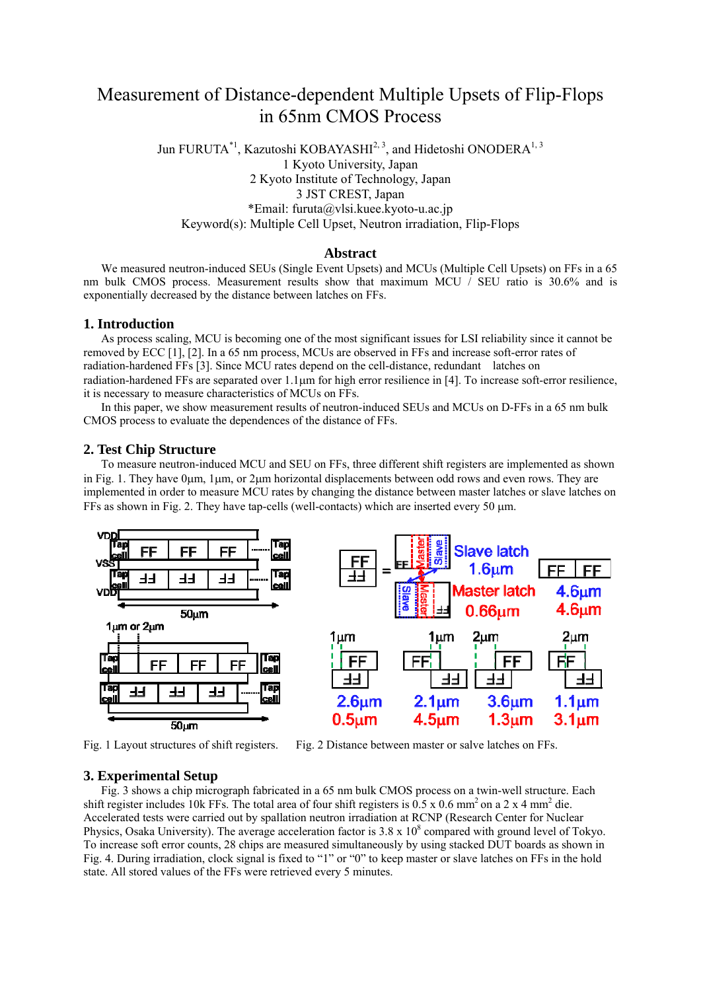# Measurement of Distance-dependent Multiple Upsets of Flip-Flops in 65nm CMOS Process

Jun FURUTA<sup>\*1</sup>, Kazutoshi KOBAYASHI<sup>2, 3</sup>, and Hidetoshi ONODERA<sup>1, 3</sup> 1 Kyoto University, Japan 2 Kyoto Institute of Technology, Japan 3 JST CREST, Japan \*Email: furuta@vlsi.kuee.kyoto-u.ac.jp Keyword(s): Multiple Cell Upset, Neutron irradiation, Flip-Flops

#### **Abstract**

We measured neutron-induced SEUs (Single Event Upsets) and MCUs (Multiple Cell Upsets) on FFs in a 65 nm bulk CMOS process. Measurement results show that maximum MCU / SEU ratio is 30.6% and is exponentially decreased by the distance between latches on FFs.

#### **1. Introduction**

As process scaling, MCU is becoming one of the most significant issues for LSI reliability since it cannot be removed by ECC [1], [2]. In a 65 nm process, MCUs are observed in FFs and increase soft-error rates of radiation-hardened FFs [3]. Since MCU rates depend on the cell-distance, redundant latches on radiation-hardened FFs are separated over 1.1  $\mu$ m for high error resilience in [4]. To increase soft-error resilience, it is necessary to measure characteristics of MCUs on FFs.

In this paper, we show measurement results of neutron-induced SEUs and MCUs on D-FFs in a 65 nm bulk CMOS process to evaluate the dependences of the distance of FFs.

#### **2. Test Chip Structure**

To measure neutron-induced MCU and SEU on FFs, three different shift registers are implemented as shown in Fig. 1. They have  $0\mu$ m,  $1\mu$ m, or  $2\mu$ m horizontal displacements between odd rows and even rows. They are implemented in order to measure MCU rates by changing the distance between master latches or slave latches on FFs as shown in Fig. 2. They have tap-cells (well-contacts) which are inserted every 50 m.



#### **3. Experimental Setup**

Fig. 3 shows a chip micrograph fabricated in a 65 nm bulk CMOS process on a twin-well structure. Each shift register includes 10k FFs. The total area of four shift registers is  $0.5 \times 0.6$  mm<sup>2</sup> on a 2 x 4 mm<sup>2</sup> die. Accelerated tests were carried out by spallation neutron irradiation at RCNP (Research Center for Nuclear Physics, Osaka University). The average acceleration factor is  $3.8 \times 10^8$  compared with ground level of Tokyo. To increase soft error counts, 28 chips are measured simultaneously by using stacked DUT boards as shown in Fig. 4. During irradiation, clock signal is fixed to "1" or "0" to keep master or slave latches on FFs in the hold state. All stored values of the FFs were retrieved every 5 minutes.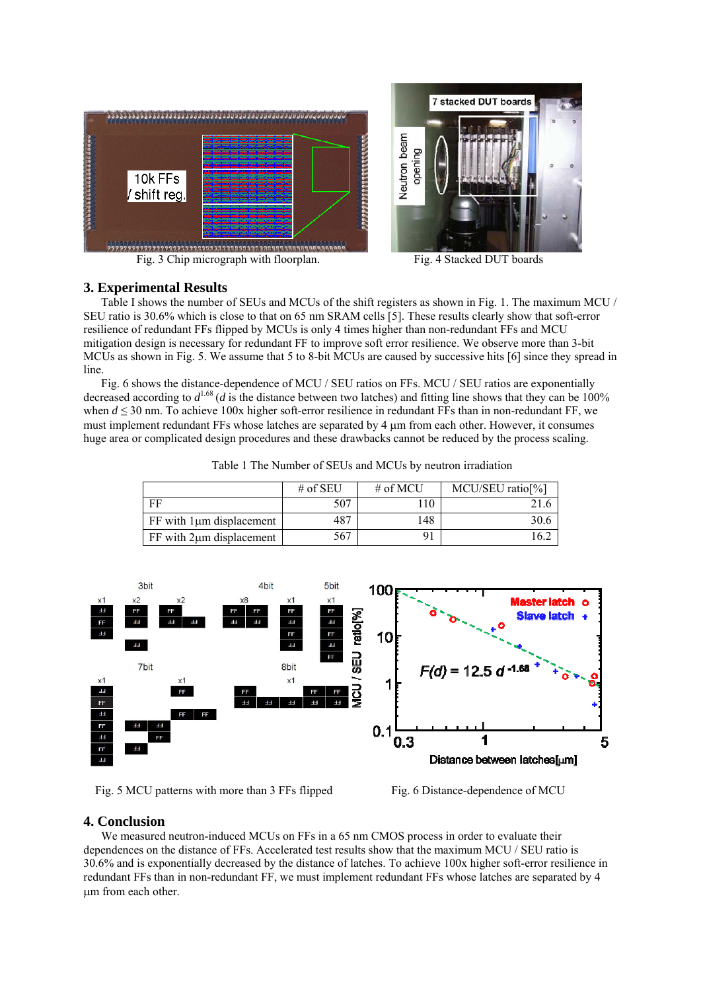



## **3. Experimental Results**

Table I shows the number of SEUs and MCUs of the shift registers as shown in Fig. 1. The maximum MCU / SEU ratio is 30.6% which is close to that on 65 nm SRAM cells [5]. These results clearly show that soft-error resilience of redundant FFs flipped by MCUs is only 4 times higher than non-redundant FFs and MCU mitigation design is necessary for redundant FF to improve soft error resilience. We observe more than 3-bit MCUs as shown in Fig. 5. We assume that 5 to 8-bit MCUs are caused by successive hits [6] since they spread in line.

 Fig. 6 shows the distance-dependence of MCU / SEU ratios on FFs. MCU / SEU ratios are exponentially decreased according to  $d^{1.68}$  (*d* is the distance between two latches) and fitting line shows that they can be 100% when *d* ≤ 30 nm. To achieve 100x higher soft-error resilience in redundant FFs than in non-redundant FF, we must implement redundant FFs whose latches are separated by 4  $\mu$ m from each other. However, it consumes huge area or complicated design procedures and these drawbacks cannot be reduced by the process scaling.

|  |  |  | Table 1 The Number of SEUs and MCUs by neutron irradiation |  |
|--|--|--|------------------------------------------------------------|--|
|--|--|--|------------------------------------------------------------|--|

|                                  | # of SEU | # of MCU | MCU/SEU ratio <sup>[%]</sup> |
|----------------------------------|----------|----------|------------------------------|
| FF                               | 507      |          |                              |
| $FF$ with $1 \mu m$ displacement | 487      | 148      |                              |
| $FF$ with $2\mu m$ displacement  | 567      |          |                              |



Fig. 5 MCU patterns with more than 3 FFs flipped Fig. 6 Distance-dependence of MCU

# **4. Conclusion**

We measured neutron-induced MCUs on FFs in a 65 nm CMOS process in order to evaluate their dependences on the distance of FFs. Accelerated test results show that the maximum MCU / SEU ratio is 30.6% and is exponentially decreased by the distance of latches. To achieve 100x higher soft-error resilience in redundant FFs than in non-redundant FF, we must implement redundant FFs whose latches are separated by 4 m from each other.